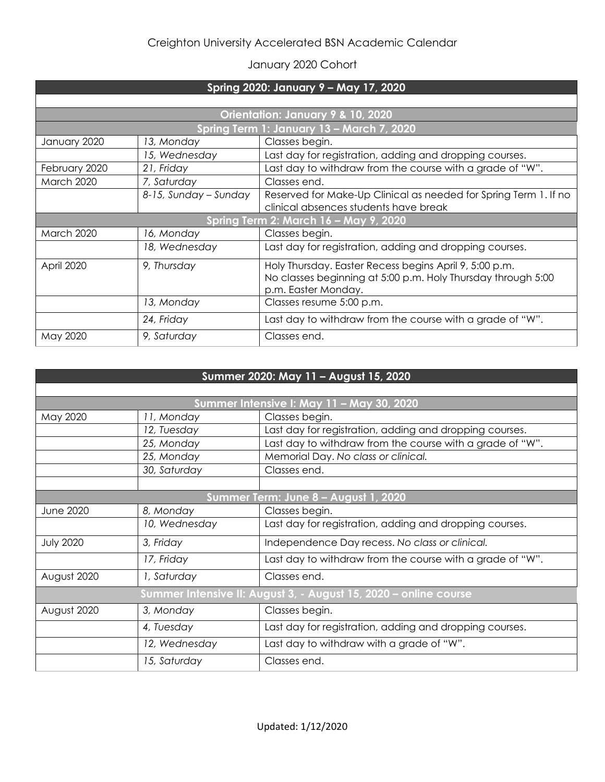## Creighton University Accelerated BSN Academic Calendar

## January 2020 Cohort

| Spring 2020: January 9 - May 17, 2020     |                       |                                                                                                                                               |  |  |
|-------------------------------------------|-----------------------|-----------------------------------------------------------------------------------------------------------------------------------------------|--|--|
|                                           |                       |                                                                                                                                               |  |  |
| Orientation: January 9 & 10, 2020         |                       |                                                                                                                                               |  |  |
| Spring Term 1: January 13 - March 7, 2020 |                       |                                                                                                                                               |  |  |
| January 2020                              | 13, Monday            | Classes begin.                                                                                                                                |  |  |
|                                           | 15, Wednesday         | Last day for registration, adding and dropping courses.                                                                                       |  |  |
| February 2020                             | 21, Friday            | Last day to withdraw from the course with a grade of "W".                                                                                     |  |  |
| <b>March 2020</b>                         | 7, Saturday           | Classes end.                                                                                                                                  |  |  |
|                                           | 8-15, Sunday - Sunday | Reserved for Make-Up Clinical as needed for Spring Term 1. If no<br>clinical absences students have break                                     |  |  |
| Spring Term 2: March 16 - May 9, 2020     |                       |                                                                                                                                               |  |  |
| <b>March 2020</b>                         | 16, Monday            | Classes begin.                                                                                                                                |  |  |
|                                           | 18, Wednesday         | Last day for registration, adding and dropping courses.                                                                                       |  |  |
| April 2020                                | 9, Thursday           | Holy Thursday. Easter Recess begins April 9, 5:00 p.m.<br>No classes beginning at 5:00 p.m. Holy Thursday through 5:00<br>p.m. Easter Monday. |  |  |
|                                           | 13, Monday            | Classes resume 5:00 p.m.                                                                                                                      |  |  |
|                                           | 24, Friday            | Last day to withdraw from the course with a grade of "W".                                                                                     |  |  |
| May 2020                                  | 9, Saturday           | Classes end.                                                                                                                                  |  |  |

| Summer 2020: May 11 - August 15, 2020                            |               |                                                           |  |  |
|------------------------------------------------------------------|---------------|-----------------------------------------------------------|--|--|
|                                                                  |               |                                                           |  |  |
| May 2020                                                         | 11, Monday    | Classes begin.                                            |  |  |
|                                                                  | 12, Tuesday   | Last day for registration, adding and dropping courses.   |  |  |
|                                                                  | 25, Monday    | Last day to withdraw from the course with a grade of "W". |  |  |
|                                                                  | 25, Monday    | Memorial Day. No class or clinical.                       |  |  |
|                                                                  | 30, Saturday  | Classes end.                                              |  |  |
|                                                                  |               |                                                           |  |  |
| Summer Term: June 8 - August 1, 2020                             |               |                                                           |  |  |
| <b>June 2020</b>                                                 | 8, Monday     | Classes begin.                                            |  |  |
|                                                                  | 10, Wednesday | Last day for registration, adding and dropping courses.   |  |  |
| <b>July 2020</b>                                                 | 3, Friday     | Independence Day recess. No class or clinical.            |  |  |
|                                                                  | 17, Friday    | Last day to withdraw from the course with a grade of "W". |  |  |
| August 2020                                                      | 1, Saturday   | Classes end.                                              |  |  |
| Summer Intensive II: August 3, - August 15, 2020 - online course |               |                                                           |  |  |
| August 2020                                                      | 3, Monday     | Classes begin.                                            |  |  |
|                                                                  | 4, Tuesday    | Last day for registration, adding and dropping courses.   |  |  |
|                                                                  | 12, Wednesday | Last day to withdraw with a grade of "W".                 |  |  |
|                                                                  | 15, Saturday  | Classes end.                                              |  |  |